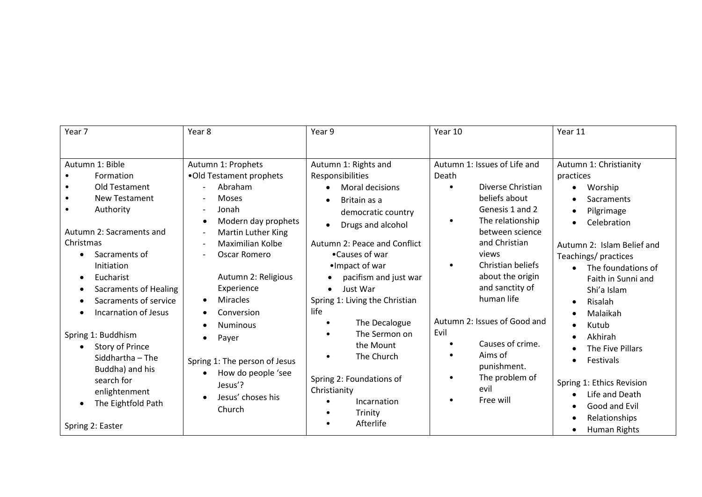| Year 7                                                                                                                                                                                 | Year 8                                                                                                                                                             | Year 9                                                                                                                                        | Year 10                                                                                                                                       | Year 11                                                                                                                                                                                                    |
|----------------------------------------------------------------------------------------------------------------------------------------------------------------------------------------|--------------------------------------------------------------------------------------------------------------------------------------------------------------------|-----------------------------------------------------------------------------------------------------------------------------------------------|-----------------------------------------------------------------------------------------------------------------------------------------------|------------------------------------------------------------------------------------------------------------------------------------------------------------------------------------------------------------|
|                                                                                                                                                                                        |                                                                                                                                                                    |                                                                                                                                               |                                                                                                                                               |                                                                                                                                                                                                            |
| Autumn 1: Bible                                                                                                                                                                        | Autumn 1: Prophets                                                                                                                                                 | Autumn 1: Rights and                                                                                                                          | Autumn 1: Issues of Life and                                                                                                                  | Autumn 1: Christianity                                                                                                                                                                                     |
| Formation<br>Old Testament                                                                                                                                                             | .Old Testament prophets<br>Abraham                                                                                                                                 | Responsibilities<br>Moral decisions<br>$\bullet$                                                                                              | Death<br>Diverse Christian<br>$\bullet$                                                                                                       | practices<br>Worship<br>$\bullet$                                                                                                                                                                          |
| <b>New Testament</b><br>Authority<br>Autumn 2: Sacraments and<br>Christmas                                                                                                             | <b>Moses</b><br>Jonah<br>$\overline{\phantom{a}}$<br>Modern day prophets<br>$\bullet$<br><b>Martin Luther King</b><br>$\overline{\phantom{a}}$<br>Maximilian Kolbe | Britain as a<br>$\bullet$<br>democratic country<br>Drugs and alcohol<br>$\bullet$<br>Autumn 2: Peace and Conflict                             | beliefs about<br>Genesis 1 and 2<br>The relationship<br>$\bullet$<br>between science<br>and Christian                                         | Sacraments<br>$\bullet$<br>Pilgrimage<br>$\bullet$<br>Celebration<br>$\bullet$<br>Autumn 2: Islam Belief and                                                                                               |
| Sacraments of<br>$\bullet$<br>Initiation<br>Eucharist<br>$\bullet$<br><b>Sacraments of Healing</b><br>٠<br>Sacraments of service<br>٠<br><b>Incarnation of Jesus</b>                   | Oscar Romero<br>Autumn 2: Religious<br>Experience<br><b>Miracles</b><br>$\bullet$<br>Conversion<br><b>Numinous</b><br>$\bullet$                                    | •Causes of war<br>•Impact of war<br>pacifism and just war<br>Just War<br>$\bullet$<br>Spring 1: Living the Christian<br>life<br>The Decalogue | views<br>Christian beliefs<br>$\bullet$<br>about the origin<br>and sanctity of<br>human life<br>Autumn 2: Issues of Good and                  | Teachings/practices<br>The foundations of<br>$\bullet$<br>Faith in Sunni and<br>Shi'a Islam<br>Risalah<br>$\bullet$<br>Malaikah<br>$\bullet$<br>Kutub<br>$\bullet$                                         |
| Spring 1: Buddhism<br><b>Story of Prince</b><br>$\bullet$<br>Siddhartha - The<br>Buddha) and his<br>search for<br>enlightenment<br>The Eightfold Path<br>$\bullet$<br>Spring 2: Easter | Payer<br>$\bullet$<br>Spring 1: The person of Jesus<br>How do people 'see<br>$\bullet$<br>Jesus'?<br>Jesus' choses his<br>$\bullet$<br>Church                      | The Sermon on<br>the Mount<br>The Church<br>$\bullet$<br>Spring 2: Foundations of<br>Christianity<br>Incarnation<br>Trinity<br>Afterlife      | Evil<br>Causes of crime.<br>$\bullet$<br>Aims of<br>$\bullet$<br>punishment.<br>The problem of<br>$\bullet$<br>evil<br>Free will<br>$\bullet$ | Akhirah<br>The Five Pillars<br>Festivals<br>$\bullet$<br>Spring 1: Ethics Revision<br>Life and Death<br>$\bullet$<br>Good and Evil<br>$\bullet$<br>Relationships<br>$\bullet$<br>Human Rights<br>$\bullet$ |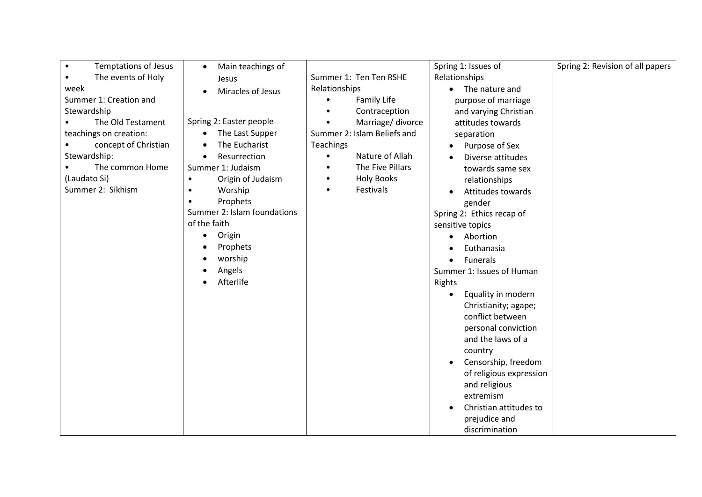| <b>Temptations of Jesus</b><br>$\bullet$ | Main teachings of<br>$\bullet$ |                                 | Spring 1: Issues of             | Spring 2: Revision of all papers |
|------------------------------------------|--------------------------------|---------------------------------|---------------------------------|----------------------------------|
| The events of Holy<br>$\bullet$          | Jesus                          | Summer 1: Ten Ten RSHE          | Relationships                   |                                  |
| week                                     | Miracles of Jesus<br>$\bullet$ | Relationships                   | • The nature and                |                                  |
| Summer 1: Creation and                   |                                | <b>Family Life</b><br>$\bullet$ | purpose of marriage             |                                  |
| Stewardship                              |                                | Contraception                   | and varying Christian           |                                  |
| The Old Testament                        | Spring 2: Easter people        | Marriage/ divorce               | attitudes towards               |                                  |
| teachings on creation:                   | The Last Supper                | Summer 2: Islam Beliefs and     | separation                      |                                  |
| concept of Christian                     | The Eucharist                  | <b>Teachings</b>                | Purpose of Sex                  |                                  |
| Stewardship:                             | Resurrection<br>$\bullet$      | Nature of Allah<br>$\bullet$    | Diverse attitudes               |                                  |
| The common Home                          | Summer 1: Judaism              | The Five Pillars<br>٠           | towards same sex                |                                  |
| (Laudato Si)                             | Origin of Judaism<br>$\bullet$ | <b>Holy Books</b><br>$\bullet$  | relationships                   |                                  |
| Summer 2: Sikhism                        | Worship<br>$\bullet$           | Festivals<br>$\bullet$          | Attitudes towards               |                                  |
|                                          | Prophets<br>$\bullet$          |                                 | gender                          |                                  |
|                                          | Summer 2: Islam foundations    |                                 | Spring 2: Ethics recap of       |                                  |
|                                          | of the faith                   |                                 | sensitive topics                |                                  |
|                                          | Origin<br>$\bullet$            |                                 | Abortion                        |                                  |
|                                          | Prophets                       |                                 | Euthanasia                      |                                  |
|                                          | worship                        |                                 | Funerals                        |                                  |
|                                          | Angels                         |                                 | Summer 1: Issues of Human       |                                  |
|                                          | Afterlife                      |                                 | Rights                          |                                  |
|                                          |                                |                                 | Equality in modern<br>$\bullet$ |                                  |
|                                          |                                |                                 | Christianity; agape;            |                                  |
|                                          |                                |                                 | conflict between                |                                  |
|                                          |                                |                                 | personal conviction             |                                  |
|                                          |                                |                                 | and the laws of a               |                                  |
|                                          |                                |                                 | country                         |                                  |
|                                          |                                |                                 | Censorship, freedom             |                                  |
|                                          |                                |                                 | of religious expression         |                                  |
|                                          |                                |                                 | and religious                   |                                  |
|                                          |                                |                                 | extremism                       |                                  |
|                                          |                                |                                 | Christian attitudes to          |                                  |
|                                          |                                |                                 | prejudice and                   |                                  |
|                                          |                                |                                 | discrimination                  |                                  |